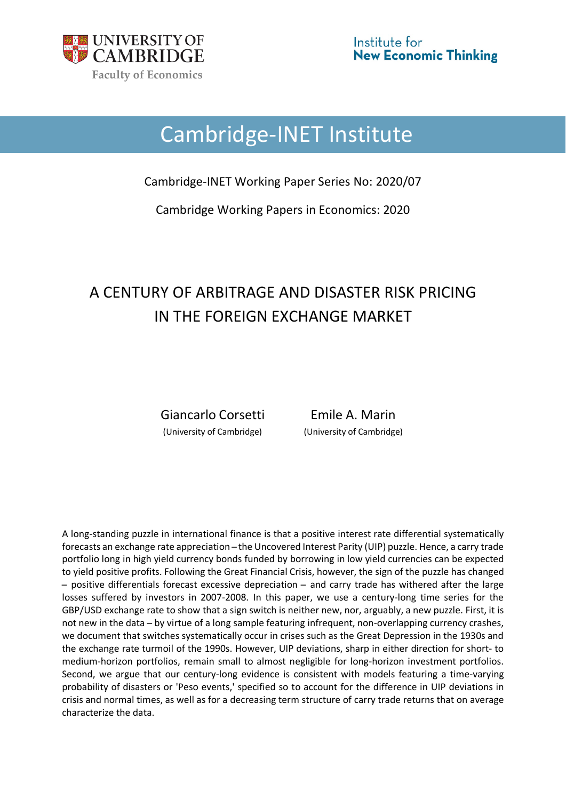

# Cambridge-INET Institute

Cambridge-INET Working Paper Series No: 2020/07

Cambridge Working Papers in Economics: 2020

# A CENTURY OF ARBITRAGE AND DISASTER RISK PRICING IN THE FOREIGN EXCHANGE MARKET

Giancarlo Corsetti Emile A. Marin (University of Cambridge) (University of Cambridge)

A long-standing puzzle in international finance is that a positive interest rate differential systematically forecasts an exchange rate appreciation – the Uncovered Interest Parity (UIP) puzzle. Hence, a carry trade portfolio long in high yield currency bonds funded by borrowing in low yield currencies can be expected to yield positive profits. Following the Great Financial Crisis, however, the sign of the puzzle has changed ̶ positive differentials forecast excessive depreciation ̶ and carry trade has withered after the large losses suffered by investors in 2007-2008. In this paper, we use a century-long time series for the GBP/USD exchange rate to show that a sign switch is neither new, nor, arguably, a new puzzle. First, it is not new in the data ̶ by virtue of a long sample featuring infrequent, non-overlapping currency crashes, we document that switches systematically occur in crises such as the Great Depression in the 1930s and the exchange rate turmoil of the 1990s. However, UIP deviations, sharp in either direction for short- to medium-horizon portfolios, remain small to almost negligible for long-horizon investment portfolios. Second, we argue that our century-long evidence is consistent with models featuring a time-varying probability of disasters or 'Peso events,' specified so to account for the difference in UIP deviations in crisis and normal times, as well as for a decreasing term structure of carry trade returns that on average characterize the data.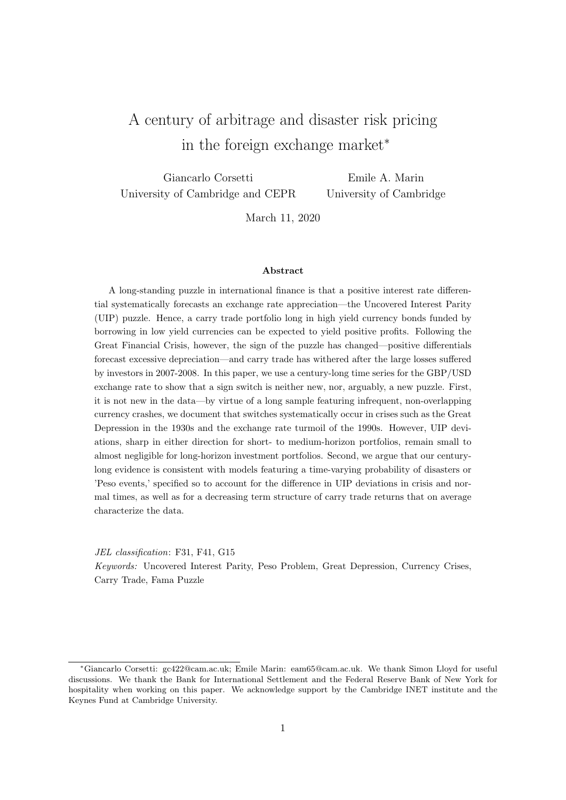# A century of arbitrage and disaster risk pricing in the foreign exchange market<sup>∗</sup>

Giancarlo Corsetti University of Cambridge and CEPR

Emile A. Marin University of Cambridge

March 11, 2020

#### Abstract

A long-standing puzzle in international finance is that a positive interest rate differential systematically forecasts an exchange rate appreciation—the Uncovered Interest Parity (UIP) puzzle. Hence, a carry trade portfolio long in high yield currency bonds funded by borrowing in low yield currencies can be expected to yield positive profits. Following the Great Financial Crisis, however, the sign of the puzzle has changed—positive differentials forecast excessive depreciation—and carry trade has withered after the large losses suffered by investors in 2007-2008. In this paper, we use a century-long time series for the GBP/USD exchange rate to show that a sign switch is neither new, nor, arguably, a new puzzle. First, it is not new in the data—by virtue of a long sample featuring infrequent, non-overlapping currency crashes, we document that switches systematically occur in crises such as the Great Depression in the 1930s and the exchange rate turmoil of the 1990s. However, UIP deviations, sharp in either direction for short- to medium-horizon portfolios, remain small to almost negligible for long-horizon investment portfolios. Second, we argue that our centurylong evidence is consistent with models featuring a time-varying probability of disasters or 'Peso events,' specified so to account for the difference in UIP deviations in crisis and normal times, as well as for a decreasing term structure of carry trade returns that on average characterize the data.

JEL classification: F31, F41, G15 Keywords: Uncovered Interest Parity, Peso Problem, Great Depression, Currency Crises, Carry Trade, Fama Puzzle

<sup>∗</sup>Giancarlo Corsetti: gc422@cam.ac.uk; Emile Marin: eam65@cam.ac.uk. We thank Simon Lloyd for useful discussions. We thank the Bank for International Settlement and the Federal Reserve Bank of New York for hospitality when working on this paper. We acknowledge support by the Cambridge INET institute and the Keynes Fund at Cambridge University.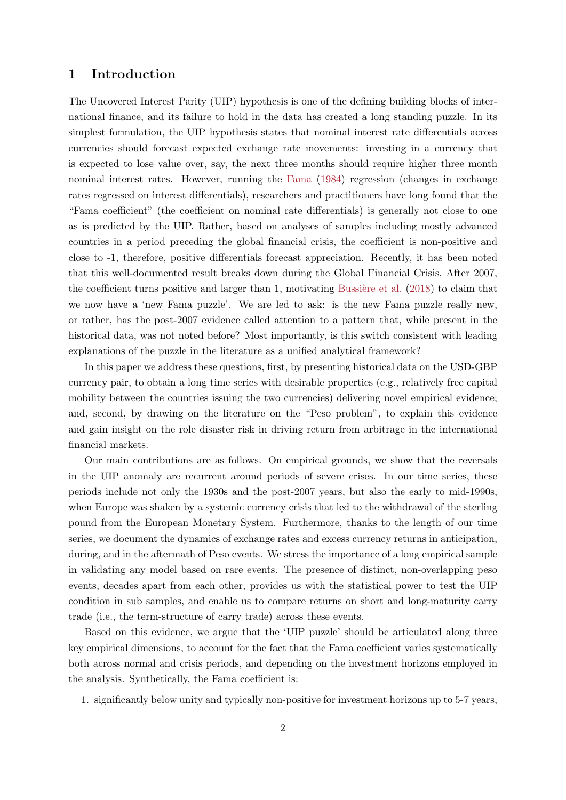#### 1 Introduction

The Uncovered Interest Parity (UIP) hypothesis is one of the defining building blocks of international finance, and its failure to hold in the data has created a long standing puzzle. In its simplest formulation, the UIP hypothesis states that nominal interest rate differentials across currencies should forecast expected exchange rate movements: investing in a currency that is expected to lose value over, say, the next three months should require higher three month nominal interest rates. However, running the [Fama](#page-16-0) [\(1984\)](#page-16-0) regression (changes in exchange rates regressed on interest differentials), researchers and practitioners have long found that the "Fama coefficient" (the coefficient on nominal rate differentials) is generally not close to one as is predicted by the UIP. Rather, based on analyses of samples including mostly advanced countries in a period preceding the global financial crisis, the coefficient is non-positive and close to -1, therefore, positive differentials forecast appreciation. Recently, it has been noted that this well-documented result breaks down during the Global Financial Crisis. After 2007, the coefficient turns positive and larger than 1, motivating Bussière et al.  $(2018)$  to claim that we now have a 'new Fama puzzle'. We are led to ask: is the new Fama puzzle really new, or rather, has the post-2007 evidence called attention to a pattern that, while present in the historical data, was not noted before? Most importantly, is this switch consistent with leading explanations of the puzzle in the literature as a unified analytical framework?

In this paper we address these questions, first, by presenting historical data on the USD-GBP currency pair, to obtain a long time series with desirable properties (e.g., relatively free capital mobility between the countries issuing the two currencies) delivering novel empirical evidence; and, second, by drawing on the literature on the "Peso problem", to explain this evidence and gain insight on the role disaster risk in driving return from arbitrage in the international financial markets.

Our main contributions are as follows. On empirical grounds, we show that the reversals in the UIP anomaly are recurrent around periods of severe crises. In our time series, these periods include not only the 1930s and the post-2007 years, but also the early to mid-1990s, when Europe was shaken by a systemic currency crisis that led to the withdrawal of the sterling pound from the European Monetary System. Furthermore, thanks to the length of our time series, we document the dynamics of exchange rates and excess currency returns in anticipation, during, and in the aftermath of Peso events. We stress the importance of a long empirical sample in validating any model based on rare events. The presence of distinct, non-overlapping peso events, decades apart from each other, provides us with the statistical power to test the UIP condition in sub samples, and enable us to compare returns on short and long-maturity carry trade (i.e., the term-structure of carry trade) across these events.

Based on this evidence, we argue that the 'UIP puzzle' should be articulated along three key empirical dimensions, to account for the fact that the Fama coefficient varies systematically both across normal and crisis periods, and depending on the investment horizons employed in the analysis. Synthetically, the Fama coefficient is:

1. significantly below unity and typically non-positive for investment horizons up to 5-7 years,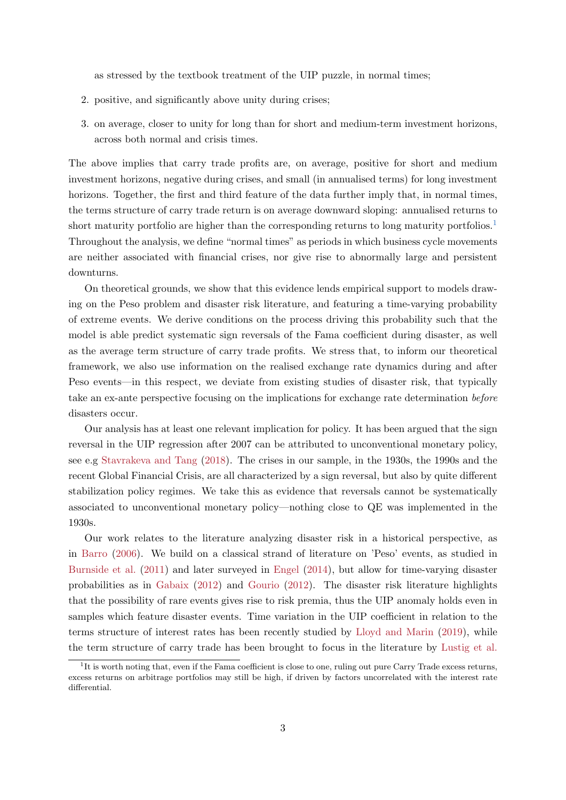as stressed by the textbook treatment of the UIP puzzle, in normal times;

- 2. positive, and significantly above unity during crises;
- 3. on average, closer to unity for long than for short and medium-term investment horizons, across both normal and crisis times.

The above implies that carry trade profits are, on average, positive for short and medium investment horizons, negative during crises, and small (in annualised terms) for long investment horizons. Together, the first and third feature of the data further imply that, in normal times, the terms structure of carry trade return is on average downward sloping: annualised returns to short maturity portfolio are higher than the corresponding returns to long maturity portfolios.<sup>[1](#page-3-0)</sup> Throughout the analysis, we define "normal times" as periods in which business cycle movements are neither associated with financial crises, nor give rise to abnormally large and persistent downturns.

On theoretical grounds, we show that this evidence lends empirical support to models drawing on the Peso problem and disaster risk literature, and featuring a time-varying probability of extreme events. We derive conditions on the process driving this probability such that the model is able predict systematic sign reversals of the Fama coefficient during disaster, as well as the average term structure of carry trade profits. We stress that, to inform our theoretical framework, we also use information on the realised exchange rate dynamics during and after Peso events—in this respect, we deviate from existing studies of disaster risk, that typically take an ex-ante perspective focusing on the implications for exchange rate determination before disasters occur.

Our analysis has at least one relevant implication for policy. It has been argued that the sign reversal in the UIP regression after 2007 can be attributed to unconventional monetary policy, see e.g [Stavrakeva and Tang](#page-17-0) [\(2018\)](#page-17-0). The crises in our sample, in the 1930s, the 1990s and the recent Global Financial Crisis, are all characterized by a sign reversal, but also by quite different stabilization policy regimes. We take this as evidence that reversals cannot be systematically associated to unconventional monetary policy—nothing close to QE was implemented in the 1930s.

Our work relates to the literature analyzing disaster risk in a historical perspective, as in [Barro](#page-16-2) [\(2006\)](#page-16-2). We build on a classical strand of literature on 'Peso' events, as studied in [Burnside et al.](#page-16-3) [\(2011\)](#page-16-3) and later surveyed in [Engel](#page-16-4) [\(2014\)](#page-16-4), but allow for time-varying disaster probabilities as in [Gabaix](#page-17-1) [\(2012\)](#page-17-1) and [Gourio](#page-17-2) [\(2012\)](#page-17-2). The disaster risk literature highlights that the possibility of rare events gives rise to risk premia, thus the UIP anomaly holds even in samples which feature disaster events. Time variation in the UIP coefficient in relation to the terms structure of interest rates has been recently studied by [Lloyd and Marin](#page-17-3) [\(2019\)](#page-17-3), while the term structure of carry trade has been brought to focus in the literature by [Lustig et al.](#page-17-4)

<span id="page-3-0"></span><sup>&</sup>lt;sup>1</sup>It is worth noting that, even if the Fama coefficient is close to one, ruling out pure Carry Trade excess returns, excess returns on arbitrage portfolios may still be high, if driven by factors uncorrelated with the interest rate differential.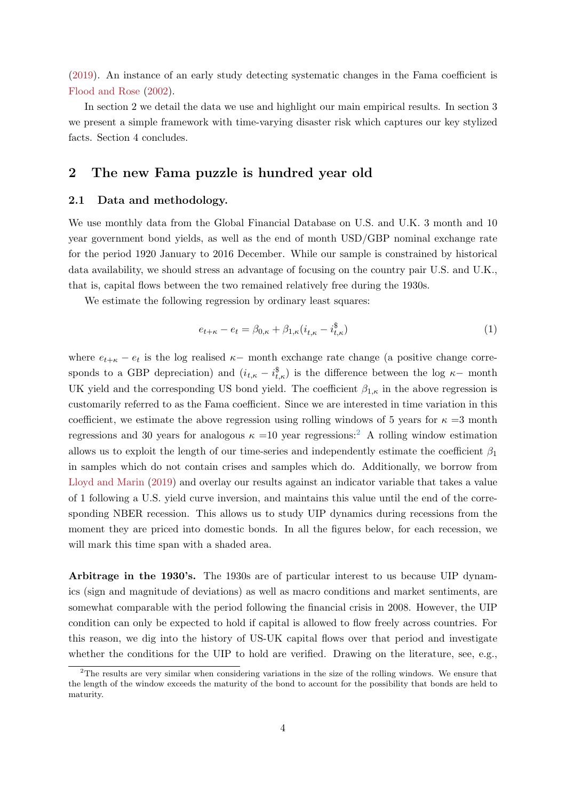[\(2019\)](#page-17-4). An instance of an early study detecting systematic changes in the Fama coefficient is [Flood and Rose](#page-17-5) [\(2002\)](#page-17-5).

In section 2 we detail the data we use and highlight our main empirical results. In section 3 we present a simple framework with time-varying disaster risk which captures our key stylized facts. Section 4 concludes.

## 2 The new Fama puzzle is hundred year old

#### 2.1 Data and methodology.

We use monthly data from the Global Financial Database on U.S. and U.K. 3 month and 10 year government bond yields, as well as the end of month USD/GBP nominal exchange rate for the period 1920 January to 2016 December. While our sample is constrained by historical data availability, we should stress an advantage of focusing on the country pair U.S. and U.K., that is, capital flows between the two remained relatively free during the 1930s.

We estimate the following regression by ordinary least squares:

<span id="page-4-1"></span>
$$
e_{t+\kappa} - e_t = \beta_{0,\kappa} + \beta_{1,\kappa} (i_{t,\kappa} - i_{t,\kappa}^{\$})
$$
\n(1)

where  $e_{t+\kappa} - e_t$  is the log realised  $\kappa$ - month exchange rate change (a positive change corresponds to a GBP depreciation) and  $(i_{t,\kappa} - i_{t,\kappa}^{\$})$  is the difference between the log  $\kappa$ -month UK yield and the corresponding US bond yield. The coefficient  $\beta_{1,\kappa}$  in the above regression is customarily referred to as the Fama coefficient. Since we are interested in time variation in this coefficient, we estimate the above regression using rolling windows of 5 years for  $\kappa = 3$  month regressions and 30 years for analogous  $\kappa = 10$  year regressions:<sup>[2](#page-4-0)</sup> A rolling window estimation allows us to exploit the length of our time-series and independently estimate the coefficient  $\beta_1$ in samples which do not contain crises and samples which do. Additionally, we borrow from [Lloyd and Marin](#page-17-3) [\(2019\)](#page-17-3) and overlay our results against an indicator variable that takes a value of 1 following a U.S. yield curve inversion, and maintains this value until the end of the corresponding NBER recession. This allows us to study UIP dynamics during recessions from the moment they are priced into domestic bonds. In all the figures below, for each recession, we will mark this time span with a shaded area.

Arbitrage in the 1930's. The 1930s are of particular interest to us because UIP dynamics (sign and magnitude of deviations) as well as macro conditions and market sentiments, are somewhat comparable with the period following the financial crisis in 2008. However, the UIP condition can only be expected to hold if capital is allowed to flow freely across countries. For this reason, we dig into the history of US-UK capital flows over that period and investigate whether the conditions for the UIP to hold are verified. Drawing on the literature, see, e.g.,

<span id="page-4-0"></span><sup>&</sup>lt;sup>2</sup>The results are very similar when considering variations in the size of the rolling windows. We ensure that the length of the window exceeds the maturity of the bond to account for the possibility that bonds are held to maturity.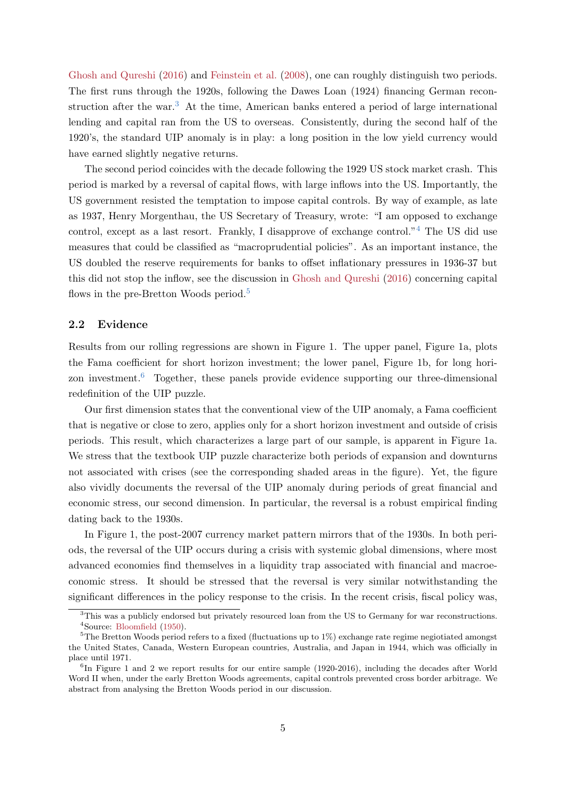[Ghosh and Qureshi](#page-17-6) [\(2016\)](#page-17-6) and [Feinstein et al.](#page-17-7) [\(2008\)](#page-17-7), one can roughly distinguish two periods. The first runs through the 1920s, following the Dawes Loan (1924) financing German recon-struction after the war.<sup>[3](#page-5-0)</sup> At the time, American banks entered a period of large international lending and capital ran from the US to overseas. Consistently, during the second half of the 1920's, the standard UIP anomaly is in play: a long position in the low yield currency would have earned slightly negative returns.

The second period coincides with the decade following the 1929 US stock market crash. This period is marked by a reversal of capital flows, with large inflows into the US. Importantly, the US government resisted the temptation to impose capital controls. By way of example, as late as 1937, Henry Morgenthau, the US Secretary of Treasury, wrote: "I am opposed to exchange control, except as a last resort. Frankly, I disapprove of exchange control."[4](#page-5-1) The US did use measures that could be classified as "macroprudential policies". As an important instance, the US doubled the reserve requirements for banks to offset inflationary pressures in 1936-37 but this did not stop the inflow, see the discussion in [Ghosh and Qureshi](#page-17-6) [\(2016\)](#page-17-6) concerning capital flows in the pre-Bretton Woods period.<sup>[5](#page-5-2)</sup>

#### 2.2 Evidence

Results from our rolling regressions are shown in Figure 1. The upper panel, Figure 1a, plots the Fama coefficient for short horizon investment; the lower panel, Figure 1b, for long horizon investment.[6](#page-5-3) Together, these panels provide evidence supporting our three-dimensional redefinition of the UIP puzzle.

Our first dimension states that the conventional view of the UIP anomaly, a Fama coefficient that is negative or close to zero, applies only for a short horizon investment and outside of crisis periods. This result, which characterizes a large part of our sample, is apparent in Figure 1a. We stress that the textbook UIP puzzle characterize both periods of expansion and downturns not associated with crises (see the corresponding shaded areas in the figure). Yet, the figure also vividly documents the reversal of the UIP anomaly during periods of great financial and economic stress, our second dimension. In particular, the reversal is a robust empirical finding dating back to the 1930s.

In Figure 1, the post-2007 currency market pattern mirrors that of the 1930s. In both periods, the reversal of the UIP occurs during a crisis with systemic global dimensions, where most advanced economies find themselves in a liquidity trap associated with financial and macroeconomic stress. It should be stressed that the reversal is very similar notwithstanding the significant differences in the policy response to the crisis. In the recent crisis, fiscal policy was,

<span id="page-5-1"></span><span id="page-5-0"></span><sup>&</sup>lt;sup>3</sup>This was a publicly endorsed but privately resourced loan from the US to Germany for war reconstructions. <sup>4</sup>Source: [Bloomfield](#page-16-5) [\(1950\)](#page-16-5).

<span id="page-5-2"></span><sup>5</sup>The Bretton Woods period refers to a fixed (fluctuations up to 1%) exchange rate regime negiotiated amongst the United States, Canada, Western European countries, Australia, and Japan in 1944, which was officially in place until 1971.

<span id="page-5-3"></span><sup>&</sup>lt;sup>6</sup>In Figure 1 and 2 we report results for our entire sample (1920-2016), including the decades after World Word II when, under the early Bretton Woods agreements, capital controls prevented cross border arbitrage. We abstract from analysing the Bretton Woods period in our discussion.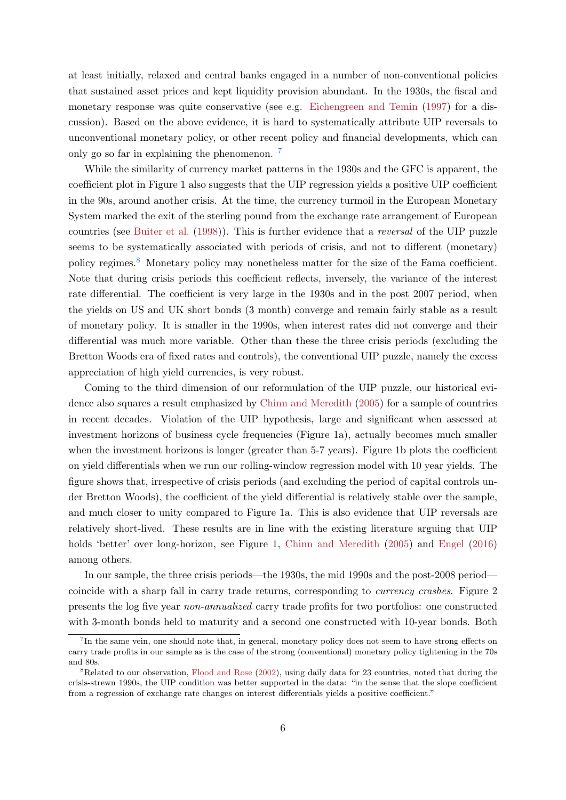at least initially, relaxed and central banks engaged in a number of non-conventional policies that sustained asset prices and kept liquidity provision abundant. In the 1930s, the fiscal and monetary response was quite conservative (see e.g. [Eichengreen and Temin](#page-16-6) [\(1997\)](#page-16-6) for a discussion). Based on the above evidence, it is hard to systematically attribute UIP reversals to unconventional monetary policy, or other recent policy and financial developments, which can only go so far in explaining the phenomenon. [7](#page-6-0)

While the similarity of currency market patterns in the 1930s and the GFC is apparent, the coefficient plot in Figure 1 also suggests that the UIP regression yields a positive UIP coefficient in the 90s, around another crisis. At the time, the currency turmoil in the European Monetary System marked the exit of the sterling pound from the exchange rate arrangement of European countries (see [Buiter et al.](#page-16-7) [\(1998\)](#page-16-7)). This is further evidence that a reversal of the UIP puzzle seems to be systematically associated with periods of crisis, and not to different (monetary) policy regimes.[8](#page-6-1) Monetary policy may nonetheless matter for the size of the Fama coefficient. Note that during crisis periods this coefficient reflects, inversely, the variance of the interest rate differential. The coefficient is very large in the 1930s and in the post 2007 period, when the yields on US and UK short bonds (3 month) converge and remain fairly stable as a result of monetary policy. It is smaller in the 1990s, when interest rates did not converge and their differential was much more variable. Other than these the three crisis periods (excluding the Bretton Woods era of fixed rates and controls), the conventional UIP puzzle, namely the excess appreciation of high yield currencies, is very robust.

Coming to the third dimension of our reformulation of the UIP puzzle, our historical evidence also squares a result emphasized by [Chinn and Meredith](#page-16-8) [\(2005\)](#page-16-8) for a sample of countries in recent decades. Violation of the UIP hypothesis, large and significant when assessed at investment horizons of business cycle frequencies (Figure 1a), actually becomes much smaller when the investment horizons is longer (greater than 5-7 years). Figure 1b plots the coefficient on yield differentials when we run our rolling-window regression model with 10 year yields. The figure shows that, irrespective of crisis periods (and excluding the period of capital controls under Bretton Woods), the coefficient of the yield differential is relatively stable over the sample, and much closer to unity compared to Figure 1a. This is also evidence that UIP reversals are relatively short-lived. These results are in line with the existing literature arguing that UIP holds 'better' over long-horizon, see Figure 1, [Chinn and Meredith](#page-16-8) [\(2005\)](#page-16-8) and [Engel](#page-16-9) [\(2016\)](#page-16-9) among others.

In our sample, the three crisis periods—the 1930s, the mid 1990s and the post-2008 period coincide with a sharp fall in carry trade returns, corresponding to currency crashes. Figure 2 presents the log five year non-annualized carry trade profits for two portfolios: one constructed with 3-month bonds held to maturity and a second one constructed with 10-year bonds. Both

<span id="page-6-0"></span><sup>&</sup>lt;sup>7</sup>In the same vein, one should note that, in general, monetary policy does not seem to have strong effects on carry trade profits in our sample as is the case of the strong (conventional) monetary policy tightening in the 70s and 80s.

<span id="page-6-1"></span><sup>&</sup>lt;sup>8</sup>Related to our observation, [Flood and Rose](#page-17-5) [\(2002\)](#page-17-5), using daily data for 23 countries, noted that during the crisis-strewn 1990s, the UIP condition was better supported in the data: "in the sense that the slope coefficient from a regression of exchange rate changes on interest differentials yields a positive coefficient."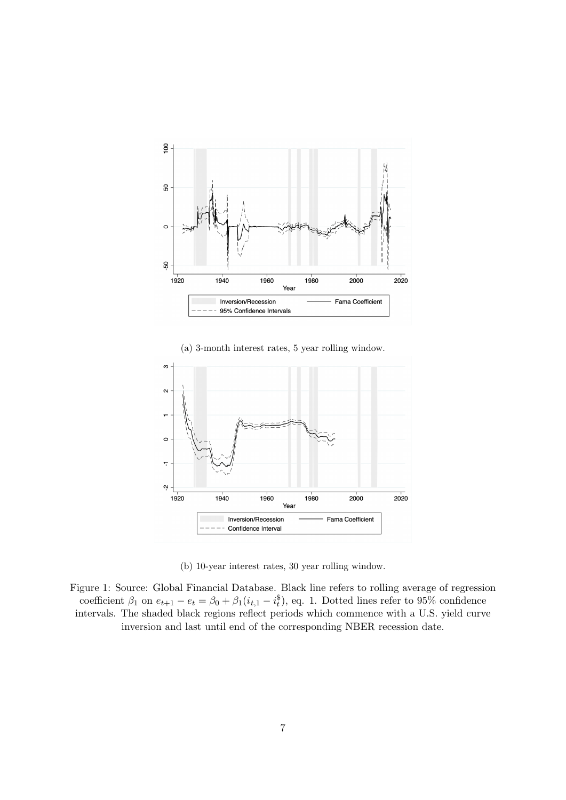

(a) 3-month interest rates, 5 year rolling window.



(b) 10-year interest rates, 30 year rolling window.

Figure 1: Source: Global Financial Database. Black line refers to rolling average of regression coefficient  $\beta_1$  on  $e_{t+1} - e_t = \beta_0 + \beta_1(i_{t,1} - i_t^*)$ , eq. 1. Dotted lines refer to 95% confidence intervals. The shaded black regions reflect periods which commence with a U.S. yield curve inversion and last until end of the corresponding NBER recession date.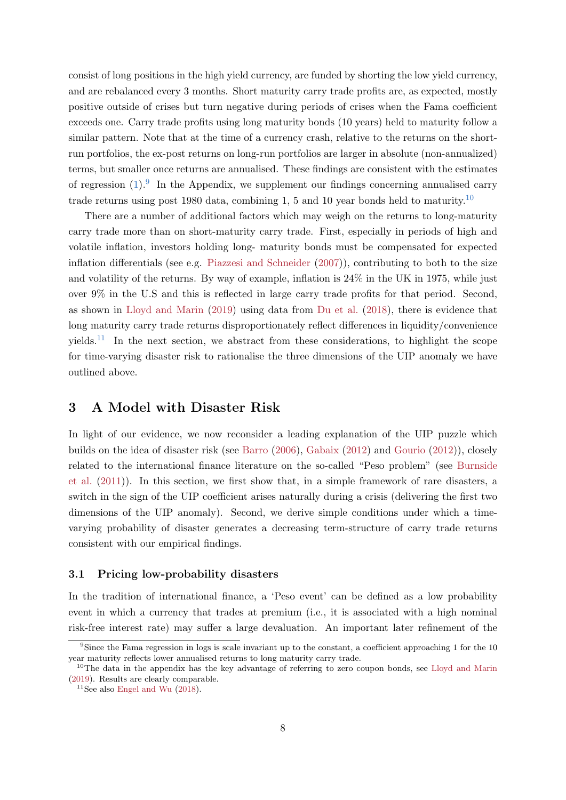consist of long positions in the high yield currency, are funded by shorting the low yield currency, and are rebalanced every 3 months. Short maturity carry trade profits are, as expected, mostly positive outside of crises but turn negative during periods of crises when the Fama coefficient exceeds one. Carry trade profits using long maturity bonds (10 years) held to maturity follow a similar pattern. Note that at the time of a currency crash, relative to the returns on the shortrun portfolios, the ex-post returns on long-run portfolios are larger in absolute (non-annualized) terms, but smaller once returns are annualised. These findings are consistent with the estimates of regression  $(1)$ . In the Appendix, we supplement our findings concerning annualised carry trade returns using post 1980 data, combining 1, 5 and 10 year bonds held to maturity.[10](#page-8-1)

There are a number of additional factors which may weigh on the returns to long-maturity carry trade more than on short-maturity carry trade. First, especially in periods of high and volatile inflation, investors holding long- maturity bonds must be compensated for expected inflation differentials (see e.g. [Piazzesi and Schneider](#page-17-8) [\(2007\)](#page-17-8)), contributing to both to the size and volatility of the returns. By way of example, inflation is 24% in the UK in 1975, while just over 9% in the U.S and this is reflected in large carry trade profits for that period. Second, as shown in [Lloyd and Marin](#page-17-3) [\(2019\)](#page-17-3) using data from [Du et al.](#page-16-10) [\(2018\)](#page-16-10), there is evidence that long maturity carry trade returns disproportionately reflect differences in liquidity/convenience vields.<sup>[11](#page-8-2)</sup> In the next section, we abstract from these considerations, to highlight the scope for time-varying disaster risk to rationalise the three dimensions of the UIP anomaly we have outlined above.

### 3 A Model with Disaster Risk

In light of our evidence, we now reconsider a leading explanation of the UIP puzzle which builds on the idea of disaster risk (see [Barro](#page-16-2) [\(2006\)](#page-16-2), [Gabaix](#page-17-1) [\(2012\)](#page-17-1) and [Gourio](#page-17-2) [\(2012\)](#page-17-2)), closely related to the international finance literature on the so-called "Peso problem" (see [Burnside](#page-16-3) [et al.](#page-16-3) [\(2011\)](#page-16-3)). In this section, we first show that, in a simple framework of rare disasters, a switch in the sign of the UIP coefficient arises naturally during a crisis (delivering the first two dimensions of the UIP anomaly). Second, we derive simple conditions under which a timevarying probability of disaster generates a decreasing term-structure of carry trade returns consistent with our empirical findings.

#### 3.1 Pricing low-probability disasters

In the tradition of international finance, a 'Peso event' can be defined as a low probability event in which a currency that trades at premium (i.e., it is associated with a high nominal risk-free interest rate) may suffer a large devaluation. An important later refinement of the

<span id="page-8-0"></span><sup>9</sup>Since the Fama regression in logs is scale invariant up to the constant, a coefficient approaching 1 for the 10 year maturity reflects lower annualised returns to long maturity carry trade.

<span id="page-8-1"></span><sup>&</sup>lt;sup>10</sup>The data in the appendix has the key advantage of referring to zero coupon bonds, see [Lloyd and Marin](#page-17-3) [\(2019\)](#page-17-3). Results are clearly comparable.

<span id="page-8-2"></span> $11$ See also [Engel and Wu](#page-16-11) [\(2018\)](#page-16-11).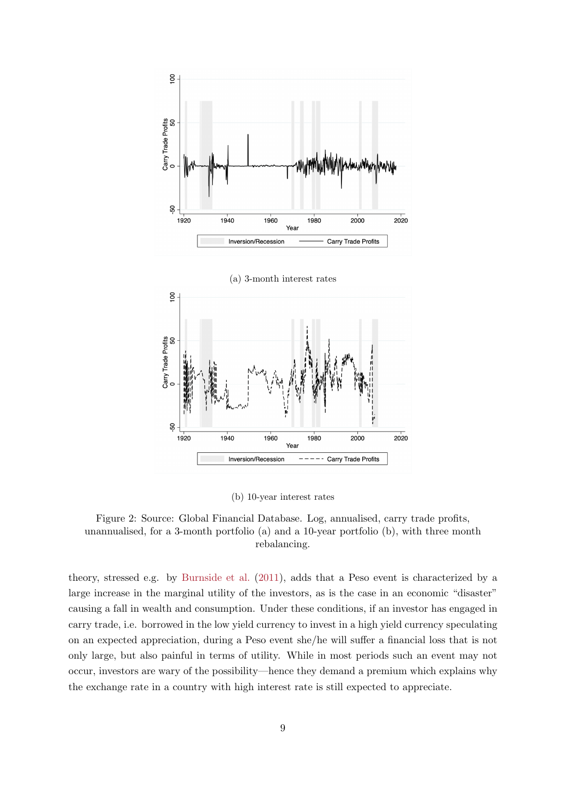



(b) 10-year interest rates

Figure 2: Source: Global Financial Database. Log, annualised, carry trade profits, unannualised, for a 3-month portfolio (a) and a 10-year portfolio (b), with three month rebalancing.

theory, stressed e.g. by [Burnside et al.](#page-16-3) [\(2011\)](#page-16-3), adds that a Peso event is characterized by a large increase in the marginal utility of the investors, as is the case in an economic "disaster" causing a fall in wealth and consumption. Under these conditions, if an investor has engaged in carry trade, i.e. borrowed in the low yield currency to invest in a high yield currency speculating on an expected appreciation, during a Peso event she/he will suffer a financial loss that is not only large, but also painful in terms of utility. While in most periods such an event may not occur, investors are wary of the possibility—hence they demand a premium which explains why the exchange rate in a country with high interest rate is still expected to appreciate.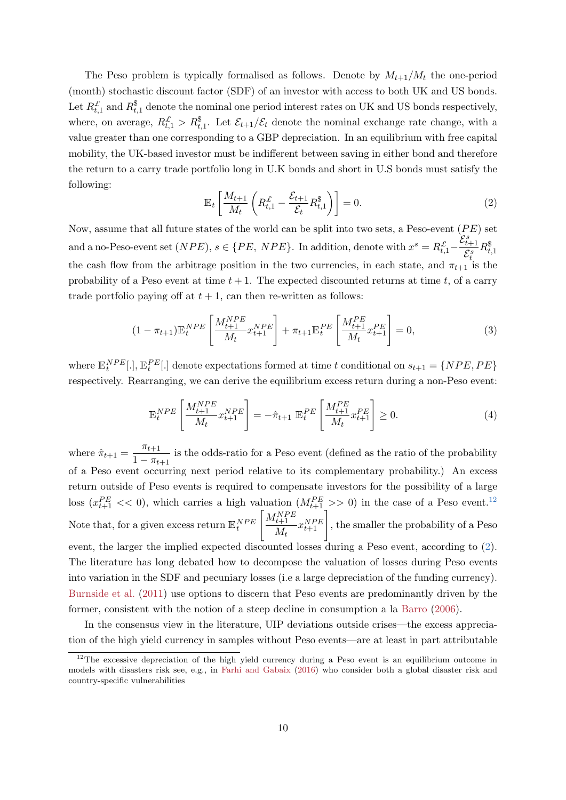The Peso problem is typically formalised as follows. Denote by  $M_{t+1}/M_t$  the one-period (month) stochastic discount factor (SDF) of an investor with access to both UK and US bonds. Let  $R_{t,1}^{\pounds}$  and  $R_{t,1}^{\$}$  denote the nominal one period interest rates on UK and US bonds respectively, where, on average,  $R_{t,1}^{\mathcal{L}} > R_{t,1}^{\$}$ . Let  $\mathcal{E}_{t+1}/\mathcal{E}_t$  denote the nominal exchange rate change, with a value greater than one corresponding to a GBP depreciation. In an equilibrium with free capital mobility, the UK-based investor must be indifferent between saving in either bond and therefore the return to a carry trade portfolio long in U.K bonds and short in U.S bonds must satisfy the following:

<span id="page-10-1"></span>
$$
\mathbb{E}_t \left[ \frac{M_{t+1}}{M_t} \left( R_{t,1}^{\mathcal{L}} - \frac{\mathcal{E}_{t+1}}{\mathcal{E}_t} R_{t,1}^{\$} \right) \right] = 0. \tag{2}
$$

Now, assume that all future states of the world can be split into two sets, a Peso-event  $(PE)$  set and a no-Peso-event set  $(NPE)$ ,  $s \in \{PE, NPE\}$ . In addition, denote with  $x^s = R_{t,1}^{\mathcal{L}}$  $\overleftarrow{\mathcal{E}^s_{t+1}}$  $\overline{\mathcal{E}^s_t}$  $R^{\$}_{t,1}$ the cash flow from the arbitrage position in the two currencies, in each state, and  $\pi_{t+1}$  is the probability of a Peso event at time  $t + 1$ . The expected discounted returns at time t, of a carry trade portfolio paying off at  $t + 1$ , can then re-written as follows:

$$
(1 - \pi_{t+1}) \mathbb{E}_t^{NPE} \left[ \frac{M_{t+1}^{NPE}}{M_t} x_{t+1}^{NPE} \right] + \pi_{t+1} \mathbb{E}_t^{PE} \left[ \frac{M_{t+1}^{PE}}{M_t} x_{t+1}^{PE} \right] = 0, \tag{3}
$$

where  $\mathbb{E}_t^{NPE}[.]$ ,  $\mathbb{E}_t^{PE}[.]$  denote expectations formed at time t conditional on  $s_{t+1} = \{NPE, PE\}$ respectively. Rearranging, we can derive the equilibrium excess return during a non-Peso event:

$$
\mathbb{E}_t^{NPE} \left[ \frac{M_{t+1}^{NPE}}{M_t} x_{t+1}^{NPE} \right] = -\hat{\pi}_{t+1} \mathbb{E}_t^{PE} \left[ \frac{M_{t+1}^{PE}}{M_t} x_{t+1}^{PE} \right] \ge 0. \tag{4}
$$

where  $\hat{\pi}_{t+1} = \frac{\pi_{t+1}}{1 - \pi}$  $\frac{n+1}{1 - \pi_{t+1}}$  is the odds-ratio for a Peso event (defined as the ratio of the probability of a Peso event occurring next period relative to its complementary probability.) An excess return outside of Peso events is required to compensate investors for the possibility of a large loss  $(x_{t+1}^{PE} << 0)$ , which carries a high valuation  $(M_{t+1}^{PE} >> 0)$  in the case of a Peso event.<sup>[12](#page-10-0)</sup> Note that, for a given excess return  $\mathbb{E}_t^{NPE}$  $\left[ M_{t+1}^{NPE}\right]$  $\begin{bmatrix} \frac{NPE}{t+1} & x_{t+1}^{NPE} \\ M_t & \end{bmatrix}$ , the smaller the probability of a Peso event, the larger the implied expected discounted losses during a Peso event, according to [\(2\)](#page-10-1). The literature has long debated how to decompose the valuation of losses during Peso events into variation in the SDF and pecuniary losses (i.e a large depreciation of the funding currency). [Burnside et al.](#page-16-3) [\(2011\)](#page-16-3) use options to discern that Peso events are predominantly driven by the former, consistent with the notion of a steep decline in consumption a la [Barro](#page-16-2) [\(2006\)](#page-16-2).

In the consensus view in the literature, UIP deviations outside crises—the excess appreciation of the high yield currency in samples without Peso events—are at least in part attributable

<span id="page-10-0"></span><sup>&</sup>lt;sup>12</sup>The excessive depreciation of the high yield currency during a Peso event is an equilibrium outcome in models with disasters risk see, e.g., in [Farhi and Gabaix](#page-16-12) [\(2016\)](#page-16-12) who consider both a global disaster risk and country-specific vulnerabilities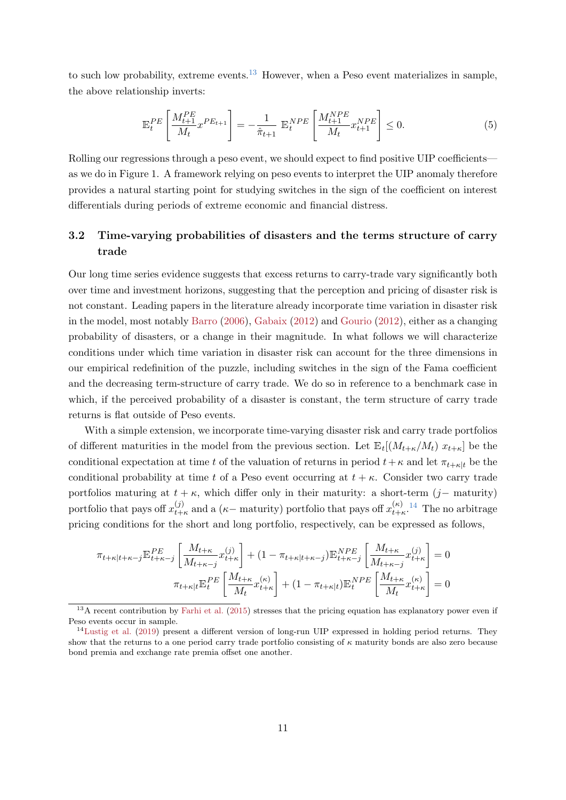to such low probability, extreme events.<sup>[13](#page-11-0)</sup> However, when a Peso event materializes in sample, the above relationship inverts:

$$
\mathbb{E}_{t}^{PE} \left[ \frac{M_{t+1}^{PE}}{M_{t}} x^{PE_{t+1}} \right] = -\frac{1}{\hat{\pi}_{t+1}} \mathbb{E}_{t}^{NPE} \left[ \frac{M_{t+1}^{NPE}}{M_{t}} x_{t+1}^{NPE} \right] \le 0.
$$
 (5)

Rolling our regressions through a peso event, we should expect to find positive UIP coefficients as we do in Figure 1. A framework relying on peso events to interpret the UIP anomaly therefore provides a natural starting point for studying switches in the sign of the coefficient on interest differentials during periods of extreme economic and financial distress.

# 3.2 Time-varying probabilities of disasters and the terms structure of carry trade

Our long time series evidence suggests that excess returns to carry-trade vary significantly both over time and investment horizons, suggesting that the perception and pricing of disaster risk is not constant. Leading papers in the literature already incorporate time variation in disaster risk in the model, most notably [Barro](#page-16-2) [\(2006\)](#page-16-2), [Gabaix](#page-17-1) [\(2012\)](#page-17-1) and [Gourio](#page-17-2) [\(2012\)](#page-17-2), either as a changing probability of disasters, or a change in their magnitude. In what follows we will characterize conditions under which time variation in disaster risk can account for the three dimensions in our empirical redefinition of the puzzle, including switches in the sign of the Fama coefficient and the decreasing term-structure of carry trade. We do so in reference to a benchmark case in which, if the perceived probability of a disaster is constant, the term structure of carry trade returns is flat outside of Peso events.

With a simple extension, we incorporate time-varying disaster risk and carry trade portfolios of different maturities in the model from the previous section. Let  $\mathbb{E}_t[(M_{t+\kappa}/M_t) x_{t+\kappa}]$  be the conditional expectation at time t of the valuation of returns in period  $t+\kappa$  and let  $\pi_{t+\kappa|t}$  be the conditional probability at time t of a Peso event occurring at  $t + \kappa$ . Consider two carry trade portfolios maturing at  $t + \kappa$ , which differ only in their maturity: a short-term (j– maturity) portfolio that pays off  $x_{t+}^{(j)}$  $_{t+\kappa}^{(j)}$  and a ( $\kappa$  – maturity) portfolio that pays off  $x_{t+\kappa}^{(\kappa)}$  $\frac{(\kappa)}{t+\kappa}$ .<sup>[14](#page-11-1)</sup> The no arbitrage pricing conditions for the short and long portfolio, respectively, can be expressed as follows,

$$
\pi_{t+\kappa|t+\kappa-j} \mathbb{E}_{t+\kappa-j}^{PE} \left[ \frac{M_{t+\kappa}}{M_{t+\kappa-j}} x_{t+\kappa}^{(j)} \right] + (1 - \pi_{t+\kappa|t+\kappa-j}) \mathbb{E}_{t+\kappa-j}^{NPE} \left[ \frac{M_{t+\kappa}}{M_{t+\kappa-j}} x_{t+\kappa}^{(j)} \right] = 0
$$
  

$$
\pi_{t+\kappa|t} \mathbb{E}_{t}^{PE} \left[ \frac{M_{t+\kappa}}{M_{t}} x_{t+\kappa}^{(\kappa)} \right] + (1 - \pi_{t+\kappa|t}) \mathbb{E}_{t}^{NPE} \left[ \frac{M_{t+\kappa}}{M_{t}} x_{t+\kappa}^{(\kappa)} \right] = 0
$$

<span id="page-11-0"></span><sup>&</sup>lt;sup>13</sup>A recent contribution by [Farhi et al.](#page-16-13) [\(2015\)](#page-16-13) stresses that the pricing equation has explanatory power even if Peso events occur in sample.

<span id="page-11-1"></span> $14$ [Lustig et al.](#page-17-4) [\(2019\)](#page-17-4) present a different version of long-run UIP expressed in holding period returns. They show that the returns to a one period carry trade portfolio consisting of  $\kappa$  maturity bonds are also zero because bond premia and exchange rate premia offset one another.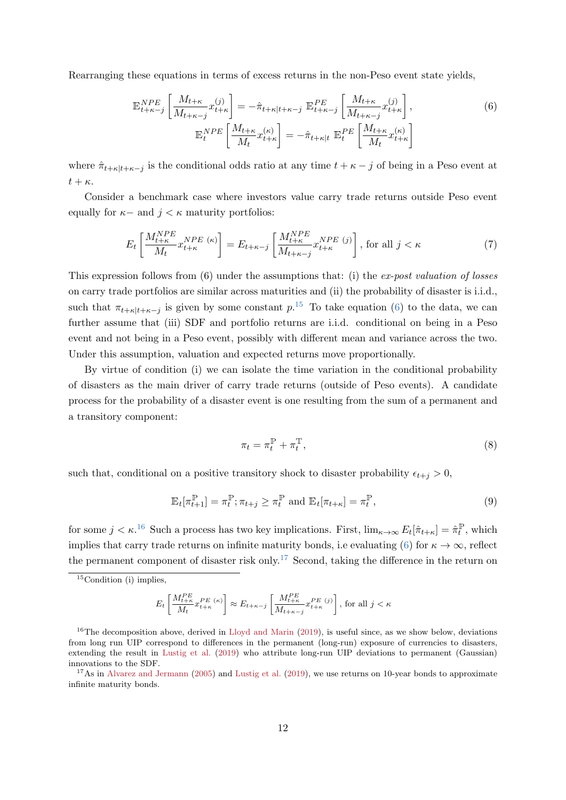Rearranging these equations in terms of excess returns in the non-Peso event state yields,

<span id="page-12-1"></span>
$$
\mathbb{E}_{t+\kappa-j}^{NPE} \left[ \frac{M_{t+\kappa}}{M_{t+\kappa-j}} x_{t+\kappa}^{(j)} \right] = -\hat{\pi}_{t+\kappa|t+\kappa-j} \mathbb{E}_{t+\kappa-j}^{PE} \left[ \frac{M_{t+\kappa}}{M_{t+\kappa-j}} x_{t+\kappa}^{(j)} \right],
$$
\n
$$
\mathbb{E}_{t}^{NPE} \left[ \frac{M_{t+\kappa}}{M_{t}} x_{t+\kappa}^{(\kappa)} \right] = -\hat{\pi}_{t+\kappa|t} \mathbb{E}_{t}^{PE} \left[ \frac{M_{t+\kappa}}{M_{t}} x_{t+\kappa}^{(\kappa)} \right]
$$
\n(6)

where  $\hat{\pi}_{t+\kappa|t+\kappa-j}$  is the conditional odds ratio at any time  $t+\kappa-j$  of being in a Peso event at  $t + \kappa$ .

Consider a benchmark case where investors value carry trade returns outside Peso event equally for  $\kappa$ − and  $j < \kappa$  maturity portfolios:

$$
E_t\left[\frac{M_{t+\kappa}^{NPE}}{M_t} x_{t+\kappa}^{NPE\ (\kappa)}\right] = E_{t+\kappa-j}\left[\frac{M_{t+\kappa}^{NPE}}{M_{t+\kappa-j}} x_{t+\kappa}^{NPE\ (j)}\right],\ \text{for all}\ j < \kappa\tag{7}
$$

This expression follows from  $(6)$  under the assumptions that: (i) the *ex-post valuation of losses* on carry trade portfolios are similar across maturities and (ii) the probability of disaster is i.i.d., such that  $\pi_{t+\kappa|t+\kappa-j}$  is given by some constant  $p^{15}$  $p^{15}$  $p^{15}$ . To take equation [\(6\)](#page-12-1) to the data, we can further assume that (iii) SDF and portfolio returns are i.i.d. conditional on being in a Peso event and not being in a Peso event, possibly with different mean and variance across the two. Under this assumption, valuation and expected returns move proportionally.

By virtue of condition (i) we can isolate the time variation in the conditional probability of disasters as the main driver of carry trade returns (outside of Peso events). A candidate process for the probability of a disaster event is one resulting from the sum of a permanent and a transitory component:

$$
\pi_t = \pi_t^{\mathbb{P}} + \pi_t^{\mathbb{T}},\tag{8}
$$

such that, conditional on a positive transitory shock to disaster probability  $\epsilon_{t+j} > 0$ ,

<span id="page-12-4"></span>
$$
\mathbb{E}_t[\pi_{t+1}^{\mathbb{P}}] = \pi_t^{\mathbb{P}}; \pi_{t+j} \ge \pi_t^{\mathbb{P}} \text{ and } \mathbb{E}_t[\pi_{t+\kappa}] = \pi_t^{\mathbb{P}},\tag{9}
$$

for some  $j < \kappa$ .<sup>[16](#page-12-2)</sup> Such a process has two key implications. First,  $\lim_{\kappa \to \infty} E_t[\hat{\pi}_{t+\kappa}] = \hat{\pi}_t^{\mathbb{P}}$  $t^{\mathbb{P}},$  which implies that carry trade returns on infinite maturity bonds, i.e evaluating [\(6\)](#page-12-1) for  $\kappa \to \infty$ , reflect the permanent component of disaster risk only.<sup>[17](#page-12-3)</sup> Second, taking the difference in the return on

$$
E_t\left[\frac{M_{t+\kappa}^{PE}}{M_t}x_{t+\kappa}^{PE\ \left(\kappa\right)}\right]\approx E_{t+\kappa-j}\left[\frac{M_{t+\kappa}^{PE}}{M_{t+\kappa-j}}x_{t+\kappa}^{PE\ (j)}\right],\,\text{for all}\,\,j<\kappa
$$

<span id="page-12-0"></span> $15$ Condition (i) implies,

<span id="page-12-2"></span><sup>&</sup>lt;sup>16</sup>The decomposition above, derived in [Lloyd and Marin](#page-17-3) [\(2019\)](#page-17-3), is useful since, as we show below, deviations from long run UIP correspond to differences in the permanent (long-run) exposure of currencies to disasters, extending the result in [Lustig et al.](#page-17-4) [\(2019\)](#page-17-4) who attribute long-run UIP deviations to permanent (Gaussian) innovations to the SDF.

<span id="page-12-3"></span> $17$ As in [Alvarez and Jermann](#page-16-14) [\(2005\)](#page-16-14) and [Lustig et al.](#page-17-4) [\(2019\)](#page-17-4), we use returns on 10-year bonds to approximate infinite maturity bonds.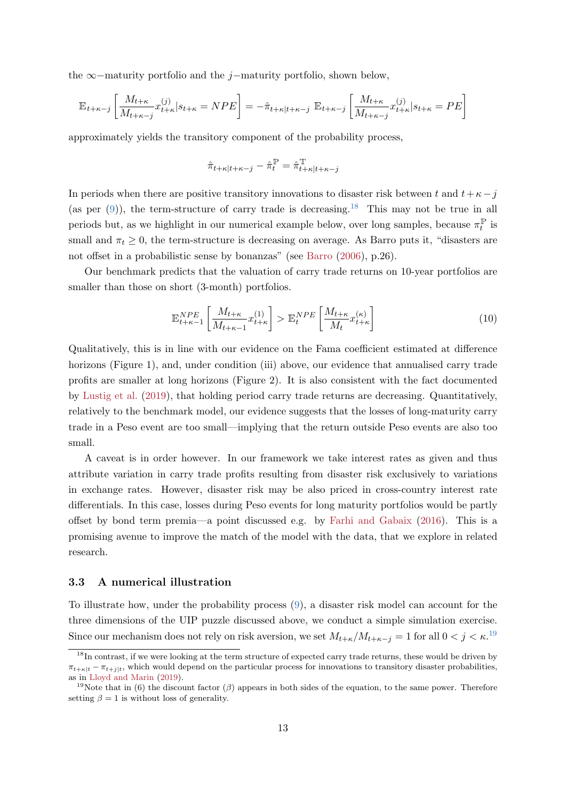the ∞−maturity portfolio and the j−maturity portfolio, shown below,

$$
\mathbb{E}_{t+\kappa-j} \left[ \frac{M_{t+\kappa}}{M_{t+\kappa-j}} x_{t+\kappa}^{(j)} \big| s_{t+\kappa} = NPE \right] = -\hat{\pi}_{t+\kappa|t+\kappa-j} \mathbb{E}_{t+\kappa-j} \left[ \frac{M_{t+\kappa}}{M_{t+\kappa-j}} x_{t+\kappa}^{(j)} \big| s_{t+\kappa} = PE \right]
$$

approximately yields the transitory component of the probability process,

$$
\hat{\pi}_{t+\kappa|t+\kappa-j} - \hat{\pi}^{\mathbb{P}}_t = \hat{\pi}^{\mathbb{T}}_{t+\kappa|t+\kappa-j}
$$

In periods when there are positive transitory innovations to disaster risk between t and  $t+\kappa-j$ (as per  $(9)$ ), the term-structure of carry trade is decreasing.<sup>[18](#page-13-0)</sup> This may not be true in all periods but, as we highlight in our numerical example below, over long samples, because  $\pi_t^{\mathbb{P}}$  $t^{\mathbb{P}}$  is small and  $\pi_t \geq 0$ , the term-structure is decreasing on average. As Barro puts it, "disasters are not offset in a probabilistic sense by bonanzas" (see [Barro](#page-16-2) [\(2006\)](#page-16-2), p.26).

Our benchmark predicts that the valuation of carry trade returns on 10-year portfolios are smaller than those on short (3-month) portfolios.

$$
\mathbb{E}_{t+\kappa-1}^{NPE} \left[ \frac{M_{t+\kappa}}{M_{t+\kappa-1}} x_{t+\kappa}^{(1)} \right] > \mathbb{E}_{t}^{NPE} \left[ \frac{M_{t+\kappa}}{M_{t}} x_{t+\kappa}^{(\kappa)} \right] \tag{10}
$$

Qualitatively, this is in line with our evidence on the Fama coefficient estimated at difference horizons (Figure 1), and, under condition (iii) above, our evidence that annualised carry trade profits are smaller at long horizons (Figure 2). It is also consistent with the fact documented by [Lustig et al.](#page-17-4) [\(2019\)](#page-17-4), that holding period carry trade returns are decreasing. Quantitatively, relatively to the benchmark model, our evidence suggests that the losses of long-maturity carry trade in a Peso event are too small—implying that the return outside Peso events are also too small.

A caveat is in order however. In our framework we take interest rates as given and thus attribute variation in carry trade profits resulting from disaster risk exclusively to variations in exchange rates. However, disaster risk may be also priced in cross-country interest rate differentials. In this case, losses during Peso events for long maturity portfolios would be partly offset by bond term premia—a point discussed e.g. by [Farhi and Gabaix](#page-16-12) [\(2016\)](#page-16-12). This is a promising avenue to improve the match of the model with the data, that we explore in related research.

#### 3.3 A numerical illustration

To illustrate how, under the probability process [\(9\)](#page-12-4), a disaster risk model can account for the three dimensions of the UIP puzzle discussed above, we conduct a simple simulation exercise. Since our mechanism does not rely on risk aversion, we set  $M_{t+\kappa}/M_{t+\kappa-j} = 1$  for all  $0 < j < \kappa$ .<sup>[19](#page-13-1)</sup>

<span id="page-13-0"></span> $18$ In contrast, if we were looking at the term structure of expected carry trade returns, these would be driven by  $\pi_{t+\kappa|t} - \pi_{t+i|t}$ , which would depend on the particular process for innovations to transitory disaster probabilities, as in [Lloyd and Marin](#page-17-3) [\(2019\)](#page-17-3).

<span id="page-13-1"></span><sup>&</sup>lt;sup>19</sup>Note that in (6) the discount factor ( $\beta$ ) appears in both sides of the equation, to the same power. Therefore setting  $\beta = 1$  is without loss of generality.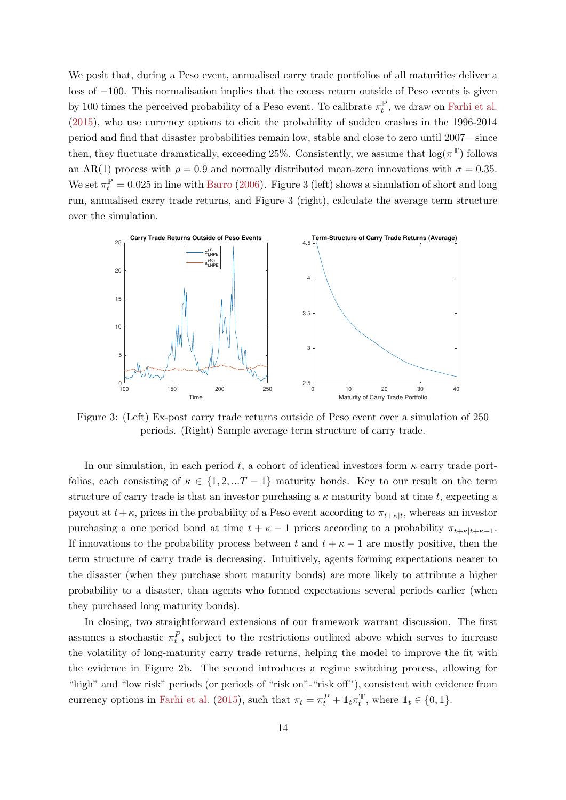We posit that, during a Peso event, annualised carry trade portfolios of all maturities deliver a loss of −100. This normalisation implies that the excess return outside of Peso events is given by 100 times the perceived probability of a Peso event. To calibrate  $\pi_t^{\mathbb{P}}$  $t_t^{\mathbb{P}}$ , we draw on [Farhi et al.](#page-16-13) [\(2015\)](#page-16-13), who use currency options to elicit the probability of sudden crashes in the 1996-2014 period and find that disaster probabilities remain low, stable and close to zero until 2007—since then, they fluctuate dramatically, exceeding 25%. Consistently, we assume that  $\log(\pi^{\mathbb{T}})$  follows an AR(1) process with  $\rho = 0.9$  and normally distributed mean-zero innovations with  $\sigma = 0.35$ . We set  $\pi_t^{\mathbb{P}} = 0.025$  in line with [Barro](#page-16-2) [\(2006\)](#page-16-2). Figure 3 (left) shows a simulation of short and long run, annualised carry trade returns, and Figure 3 (right), calculate the average term structure over the simulation.



Figure 3: (Left) Ex-post carry trade returns outside of Peso event over a simulation of 250 periods. (Right) Sample average term structure of carry trade.

In our simulation, in each period t, a cohort of identical investors form  $\kappa$  carry trade portfolios, each consisting of  $\kappa \in \{1, 2, ...T - 1\}$  maturity bonds. Key to our result on the term structure of carry trade is that an investor purchasing a  $\kappa$  maturity bond at time t, expecting a payout at  $t + \kappa$ , prices in the probability of a Peso event according to  $\pi_{t+\kappa|t}$ , whereas an investor purchasing a one period bond at time  $t + \kappa - 1$  prices according to a probability  $\pi_{t+\kappa|t+\kappa-1}$ . If innovations to the probability process between t and  $t + \kappa - 1$  are mostly positive, then the term structure of carry trade is decreasing. Intuitively, agents forming expectations nearer to the disaster (when they purchase short maturity bonds) are more likely to attribute a higher probability to a disaster, than agents who formed expectations several periods earlier (when they purchased long maturity bonds).

In closing, two straightforward extensions of our framework warrant discussion. The first assumes a stochastic  $\pi_t^P$ , subject to the restrictions outlined above which serves to increase the volatility of long-maturity carry trade returns, helping the model to improve the fit with the evidence in Figure 2b. The second introduces a regime switching process, allowing for "high" and "low risk" periods (or periods of "risk on"-"risk off"), consistent with evidence from currency options in [Farhi et al.](#page-16-13) [\(2015\)](#page-16-13), such that  $\pi_t = \pi_t^P + \mathbb{1}_t \pi_t^T$  $t_t^{\mathbb{T}},$  where  $\mathbb{1}_t \in \{0, 1\}.$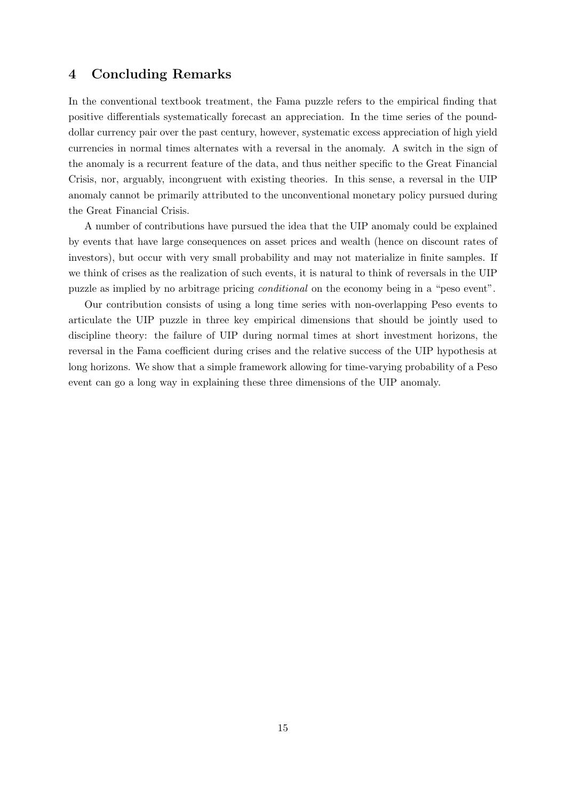### 4 Concluding Remarks

In the conventional textbook treatment, the Fama puzzle refers to the empirical finding that positive differentials systematically forecast an appreciation. In the time series of the pounddollar currency pair over the past century, however, systematic excess appreciation of high yield currencies in normal times alternates with a reversal in the anomaly. A switch in the sign of the anomaly is a recurrent feature of the data, and thus neither specific to the Great Financial Crisis, nor, arguably, incongruent with existing theories. In this sense, a reversal in the UIP anomaly cannot be primarily attributed to the unconventional monetary policy pursued during the Great Financial Crisis.

A number of contributions have pursued the idea that the UIP anomaly could be explained by events that have large consequences on asset prices and wealth (hence on discount rates of investors), but occur with very small probability and may not materialize in finite samples. If we think of crises as the realization of such events, it is natural to think of reversals in the UIP puzzle as implied by no arbitrage pricing conditional on the economy being in a "peso event".

Our contribution consists of using a long time series with non-overlapping Peso events to articulate the UIP puzzle in three key empirical dimensions that should be jointly used to discipline theory: the failure of UIP during normal times at short investment horizons, the reversal in the Fama coefficient during crises and the relative success of the UIP hypothesis at long horizons. We show that a simple framework allowing for time-varying probability of a Peso event can go a long way in explaining these three dimensions of the UIP anomaly.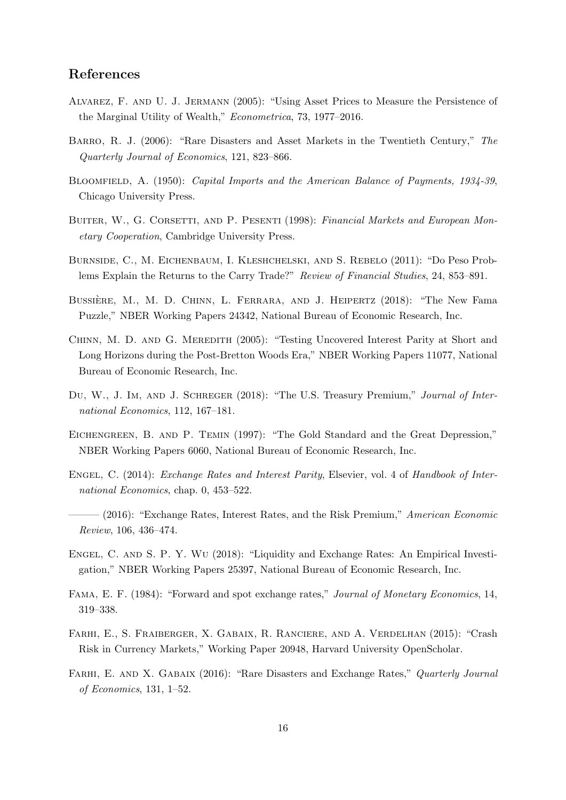### References

- <span id="page-16-14"></span>Alvarez, F. and U. J. Jermann (2005): "Using Asset Prices to Measure the Persistence of the Marginal Utility of Wealth," Econometrica, 73, 1977–2016.
- <span id="page-16-2"></span>Barro, R. J. (2006): "Rare Disasters and Asset Markets in the Twentieth Century," The Quarterly Journal of Economics, 121, 823–866.
- <span id="page-16-5"></span>BLOOMFIELD, A. (1950): Capital Imports and the American Balance of Payments, 1934-39, Chicago University Press.
- <span id="page-16-7"></span>BUITER, W., G. CORSETTI, AND P. PESENTI (1998): Financial Markets and European Monetary Cooperation, Cambridge University Press.
- <span id="page-16-3"></span>Burnside, C., M. Eichenbaum, I. Kleshchelski, and S. Rebelo (2011): "Do Peso Problems Explain the Returns to the Carry Trade?" Review of Financial Studies, 24, 853–891.
- <span id="page-16-1"></span>BUSSIÈRE, M., M. D. CHINN, L. FERRARA, AND J. HEIPERTZ (2018): "The New Fama Puzzle," NBER Working Papers 24342, National Bureau of Economic Research, Inc.
- <span id="page-16-8"></span>CHINN, M. D. AND G. MEREDITH (2005): "Testing Uncovered Interest Parity at Short and Long Horizons during the Post-Bretton Woods Era," NBER Working Papers 11077, National Bureau of Economic Research, Inc.
- <span id="page-16-10"></span>DU, W., J. IM, AND J. SCHREGER (2018): "The U.S. Treasury Premium," Journal of International Economics, 112, 167–181.
- <span id="page-16-6"></span>Eichengreen, B. and P. Temin (1997): "The Gold Standard and the Great Depression," NBER Working Papers 6060, National Bureau of Economic Research, Inc.
- <span id="page-16-4"></span>ENGEL, C. (2014): *Exchange Rates and Interest Parity*, Elsevier, vol. 4 of *Handbook of Inter*national Economics, chap. 0, 453–522.
- <span id="page-16-9"></span> $-$  (2016): "Exchange Rates, Interest Rates, and the Risk Premium," American Economic Review, 106, 436–474.
- <span id="page-16-11"></span>Engel, C. and S. P. Y. Wu (2018): "Liquidity and Exchange Rates: An Empirical Investigation," NBER Working Papers 25397, National Bureau of Economic Research, Inc.
- <span id="page-16-0"></span>Fama, E. F. (1984): "Forward and spot exchange rates," Journal of Monetary Economics, 14, 319–338.
- <span id="page-16-13"></span>Farhi, E., S. Fraiberger, X. Gabaix, R. Ranciere, and A. Verdelhan (2015): "Crash Risk in Currency Markets," Working Paper 20948, Harvard University OpenScholar.
- <span id="page-16-12"></span>FARHI, E. AND X. GABAIX (2016): "Rare Disasters and Exchange Rates," Quarterly Journal of Economics, 131, 1–52.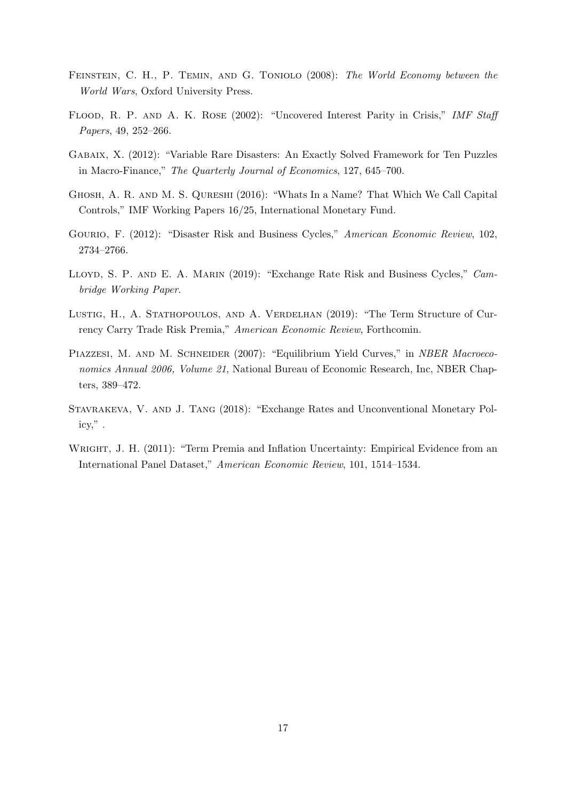- <span id="page-17-7"></span>Feinstein, C. H., P. Temin, and G. Toniolo (2008): The World Economy between the World Wars, Oxford University Press.
- <span id="page-17-5"></span>FLOOD, R. P. AND A. K. ROSE (2002): "Uncovered Interest Parity in Crisis," IMF Staff Papers, 49, 252–266.
- <span id="page-17-1"></span>Gabaix, X. (2012): "Variable Rare Disasters: An Exactly Solved Framework for Ten Puzzles in Macro-Finance," The Quarterly Journal of Economics, 127, 645–700.
- <span id="page-17-6"></span>Ghosh, A. R. and M. S. Qureshi (2016): "Whats In a Name? That Which We Call Capital Controls," IMF Working Papers 16/25, International Monetary Fund.
- <span id="page-17-2"></span>Gourio, F. (2012): "Disaster Risk and Business Cycles," American Economic Review, 102, 2734–2766.
- <span id="page-17-3"></span>LLOYD, S. P. AND E. A. MARIN (2019): "Exchange Rate Risk and Business Cycles," Cambridge Working Paper.
- <span id="page-17-4"></span>LUSTIG, H., A. STATHOPOULOS, AND A. VERDELHAN (2019): "The Term Structure of Currency Carry Trade Risk Premia," American Economic Review, Forthcomin.
- <span id="page-17-8"></span>PIAZZESI, M. AND M. SCHNEIDER (2007): "Equilibrium Yield Curves," in NBER Macroeconomics Annual 2006, Volume 21, National Bureau of Economic Research, Inc, NBER Chapters, 389–472.
- <span id="page-17-0"></span>STAVRAKEVA, V. AND J. TANG (2018): "Exchange Rates and Unconventional Monetary Policy," .
- <span id="page-17-9"></span>WRIGHT, J. H. (2011): "Term Premia and Inflation Uncertainty: Empirical Evidence from an International Panel Dataset," American Economic Review, 101, 1514–1534.